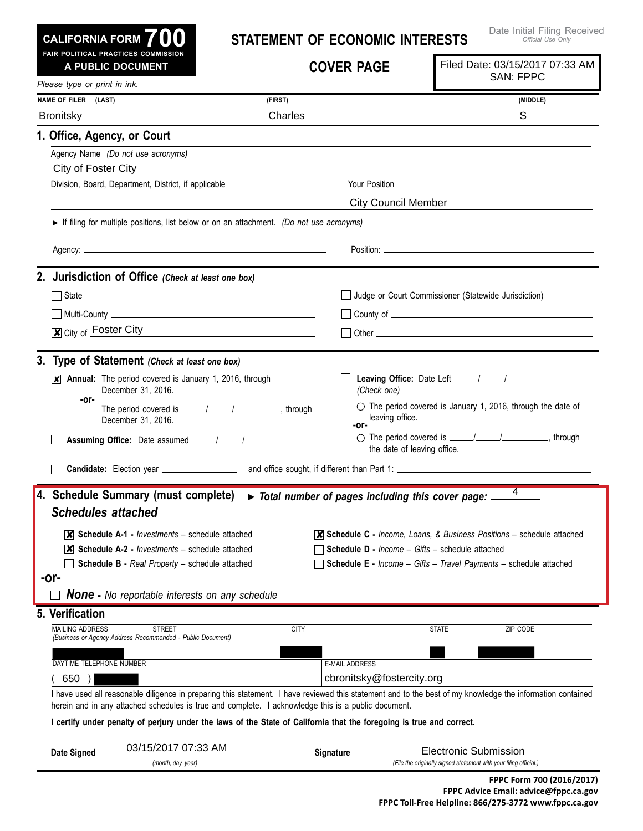| <b>CALIFORNIA FORM</b> | 700 |  |  |
|------------------------|-----|--|--|
|                        |     |  |  |

## **Statement of Economic Interests**

| A PUBLIC DOCUMENT              | FAIR POLITICAL PRACTICES COMMISSION                                                                                  | <b>COVER PAGE</b>                                | Filed Date: 03/15/2017 07:33 AM<br><b>SAN: FPPC</b>                                                                                                        |
|--------------------------------|----------------------------------------------------------------------------------------------------------------------|--------------------------------------------------|------------------------------------------------------------------------------------------------------------------------------------------------------------|
| Please type or print in ink.   |                                                                                                                      |                                                  |                                                                                                                                                            |
| NAME OF FILER (LAST)           |                                                                                                                      | (FIRST)                                          | (MIDDLE)                                                                                                                                                   |
| <b>Bronitsky</b>               |                                                                                                                      | Charles                                          | S                                                                                                                                                          |
| 1. Office, Agency, or Court    |                                                                                                                      |                                                  |                                                                                                                                                            |
| City of Foster City            | Agency Name (Do not use acronyms)                                                                                    |                                                  |                                                                                                                                                            |
|                                | Division, Board, Department, District, if applicable                                                                 | Your Position                                    |                                                                                                                                                            |
|                                |                                                                                                                      | <b>City Council Member</b>                       |                                                                                                                                                            |
|                                | If filing for multiple positions, list below or on an attachment. (Do not use acronyms)                              |                                                  |                                                                                                                                                            |
|                                |                                                                                                                      |                                                  |                                                                                                                                                            |
|                                | 2. Jurisdiction of Office (Check at least one box)                                                                   |                                                  |                                                                                                                                                            |
| State                          |                                                                                                                      |                                                  | Judge or Court Commissioner (Statewide Jurisdiction)                                                                                                       |
|                                |                                                                                                                      |                                                  |                                                                                                                                                            |
|                                | $\overline{\mathbf{x}}$ City of Foster City                                                                          |                                                  |                                                                                                                                                            |
|                                |                                                                                                                      |                                                  |                                                                                                                                                            |
|                                | 3. Type of Statement (Check at least one box)                                                                        |                                                  |                                                                                                                                                            |
| $\vert x \vert$                | Annual: The period covered is January 1, 2016, through<br>December 31, 2016.                                         | (Check one)                                      |                                                                                                                                                            |
| -or-                           | December 31, 2016.                                                                                                   | leaving office.<br>-or-                          | $\circ$ The period covered is January 1, 2016, through the date of                                                                                         |
|                                |                                                                                                                      |                                                  | the date of leaving office.                                                                                                                                |
|                                |                                                                                                                      |                                                  |                                                                                                                                                            |
|                                |                                                                                                                      |                                                  |                                                                                                                                                            |
|                                |                                                                                                                      |                                                  | 4                                                                                                                                                          |
| <b>Schedules attached</b>      | 4. Schedule Summary (must complete)                                                                                  | Total number of pages including this cover page: |                                                                                                                                                            |
|                                | $ \mathsf{X} $ Schedule A-1 - <i>Investments</i> – schedule attached                                                 |                                                  | $\overline{\mathsf{x}}$ Schedule C - Income, Loans, & Business Positions – schedule attached                                                               |
|                                | $ \mathbf{X} $ Schedule A-2 - <i>Investments</i> – schedule attached                                                 |                                                  | <b>Schedule D - Income - Gifts - schedule attached</b>                                                                                                     |
|                                | <b>Schedule B - Real Property - schedule attached</b>                                                                |                                                  | <b>Schedule E</b> - Income - Gifts - Travel Payments - schedule attached                                                                                   |
| -or-                           | <b>None -</b> No reportable interests on any schedule                                                                |                                                  |                                                                                                                                                            |
|                                |                                                                                                                      |                                                  |                                                                                                                                                            |
| <b>MAILING ADDRESS</b>         | <b>STREET</b><br>(Business or Agency Address Recommended - Public Document)                                          | <b>CITY</b>                                      | <b>STATE</b><br>ZIP CODE                                                                                                                                   |
| DAYTIME TELEPHONE NUMBER       |                                                                                                                      | <b>E-MAIL ADDRESS</b>                            |                                                                                                                                                            |
| 650)                           |                                                                                                                      | cbronitsky@fostercity.org                        |                                                                                                                                                            |
|                                | herein and in any attached schedules is true and complete. I acknowledge this is a public document.                  |                                                  | I have used all reasonable diligence in preparing this statement. I have reviewed this statement and to the best of my knowledge the information contained |
|                                | I certify under penalty of perjury under the laws of the State of California that the foregoing is true and correct. |                                                  |                                                                                                                                                            |
| 5. Verification<br>Date Signed | 03/15/2017 07:33 AM                                                                                                  | Signature _                                      | <b>Electronic Submission</b>                                                                                                                               |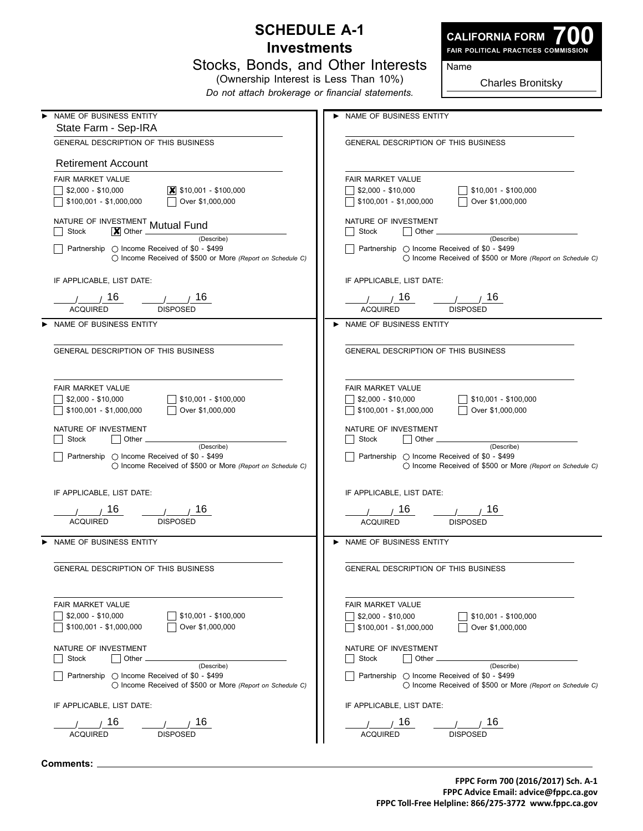## **Schedule A-1 Investments**



**700 Fair Political Practices Commission**

Name

|  |  | Stocks, Bonds, and Other Interests |
|--|--|------------------------------------|
|  |  |                                    |

(Ownership Interest is Less Than 10%) *Do not attach brokerage or financial statements.*

Charles Bronitsky

| NAME OF BUSINESS ENTITY                                                                                            | NAME OF BUSINESS ENTITY                                                                                            |
|--------------------------------------------------------------------------------------------------------------------|--------------------------------------------------------------------------------------------------------------------|
| State Farm - Sep-IRA                                                                                               |                                                                                                                    |
| <b>GENERAL DESCRIPTION OF THIS BUSINESS</b>                                                                        | <b>GENERAL DESCRIPTION OF THIS BUSINESS</b>                                                                        |
| <b>Retirement Account</b>                                                                                          |                                                                                                                    |
| FAIR MARKET VALUE                                                                                                  | <b>FAIR MARKET VALUE</b>                                                                                           |
| $$2,000 - $10,000$<br>$\vert$ \$10,001 - \$100,000                                                                 | $$2,000 - $10,000$<br>\$10,001 - \$100,000                                                                         |
| \$100,001 - \$1,000,000<br>Over \$1,000,000                                                                        | Over \$1,000,000<br>\$100,001 - \$1,000,000                                                                        |
|                                                                                                                    |                                                                                                                    |
| NATURE OF INVESTMENT Mutual Fund<br><b>Stock</b><br>$\vert \bm{\mathsf{X}} \vert$ Other .                          | NATURE OF INVESTMENT<br>Stock<br>Other                                                                             |
| (Describe)                                                                                                         | (Describe)                                                                                                         |
| Partnership ◯ Income Received of \$0 - \$499<br>◯ Income Received of \$500 or More (Report on Schedule C)          | Partnership ○ Income Received of \$0 - \$499<br>◯ Income Received of \$500 or More (Report on Schedule C)          |
| IF APPLICABLE, LIST DATE:                                                                                          | IF APPLICABLE, LIST DATE:                                                                                          |
| 16<br>16.                                                                                                          | 16<br>16                                                                                                           |
| <b>ACQUIRED</b><br><b>DISPOSED</b>                                                                                 | <b>DISPOSED</b><br><b>ACQUIRED</b>                                                                                 |
|                                                                                                                    |                                                                                                                    |
| NAME OF BUSINESS ENTITY                                                                                            | > NAME OF BUSINESS ENTITY                                                                                          |
| GENERAL DESCRIPTION OF THIS BUSINESS                                                                               | <b>GENERAL DESCRIPTION OF THIS BUSINESS</b>                                                                        |
|                                                                                                                    |                                                                                                                    |
|                                                                                                                    |                                                                                                                    |
| FAIR MARKET VALUE                                                                                                  | FAIR MARKET VALUE                                                                                                  |
| $$2,000 - $10,000$<br>$$10,001 - $100,000$                                                                         | \$10,001 - \$100,000<br>$\frac{1}{2}$ \$2,000 - \$10,000                                                           |
| \$100,001 - \$1,000,000<br>Over \$1,000,000                                                                        | Over \$1,000,000<br>$$100,001 - $1,000,000$                                                                        |
| NATURE OF INVESTMENT                                                                                               | NATURE OF INVESTMENT                                                                                               |
| Stock<br>Other<br>(Describe)                                                                                       | Stock<br>Other<br>(Describe)                                                                                       |
| Partnership ( Income Received of \$0 - \$499                                                                       | Partnership ◯ Income Received of \$0 - \$499                                                                       |
| $\bigcirc$ Income Received of \$500 or More (Report on Schedule C)                                                 | ◯ Income Received of \$500 or More (Report on Schedule C)                                                          |
|                                                                                                                    |                                                                                                                    |
| IF APPLICABLE, LIST DATE:                                                                                          | IF APPLICABLE, LIST DATE:                                                                                          |
| 16<br>16                                                                                                           | 16<br>16                                                                                                           |
| <b>ACQUIRED</b><br><b>DISPOSED</b>                                                                                 | <b>ACQUIRED</b><br><b>DISPOSED</b>                                                                                 |
| NAME OF BUSINESS ENTITY                                                                                            | > NAME OF BUSINESS ENTITY                                                                                          |
|                                                                                                                    |                                                                                                                    |
| <b>GENERAL DESCRIPTION OF THIS BUSINESS</b>                                                                        | <b>GENERAL DESCRIPTION OF THIS BUSINESS</b>                                                                        |
|                                                                                                                    |                                                                                                                    |
| <b>FAIR MARKET VALUE</b>                                                                                           | <b>FAIR MARKET VALUE</b>                                                                                           |
| $$2,000 - $10,000$<br>$$10,001 - $100,000$                                                                         | $$2,000 - $10,000$<br>$$10,001 - $100,000$                                                                         |
| \$100,001 - \$1,000,000<br>Over \$1,000,000                                                                        | $$100,001 - $1,000,000$<br>Over \$1,000,000                                                                        |
| NATURE OF INVESTMENT                                                                                               | NATURE OF INVESTMENT                                                                                               |
| Stock<br>Other                                                                                                     | Other<br><b>Stock</b>                                                                                              |
| (Describe)                                                                                                         | (Describe)                                                                                                         |
| Partnership $\bigcirc$ Income Received of \$0 - \$499<br>◯ Income Received of \$500 or More (Report on Schedule C) | Partnership $\bigcirc$ Income Received of \$0 - \$499<br>◯ Income Received of \$500 or More (Report on Schedule C) |
| IF APPLICABLE. LIST DATE:                                                                                          | IF APPLICABLE, LIST DATE:                                                                                          |
| 16<br>16                                                                                                           | 16<br>16                                                                                                           |
| <b>DISPOSED</b><br><b>ACQUIRED</b>                                                                                 | <b>ACQUIRED</b><br><b>DISPOSED</b>                                                                                 |
|                                                                                                                    |                                                                                                                    |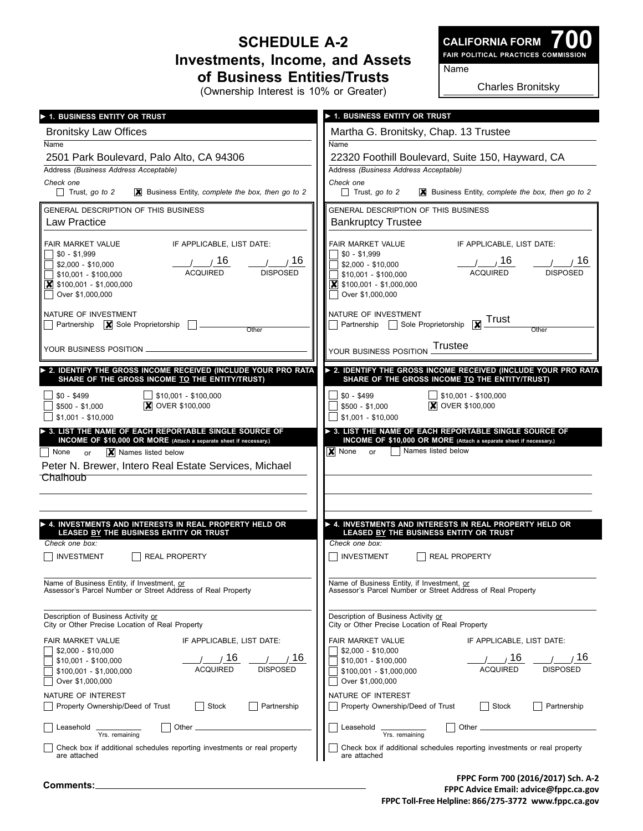## **Schedule A-2 Investments, Income, and Assets of Business Entities/Trusts**

**700 Fair Political Practices Commission CALIFORNIA FORM**

Name

(Ownership Interest is 10% or Greater)

Charles Bronitsky

| > 1. BUSINESS ENTITY OR TRUST                                                                                                                                                   | 1. BUSINESS ENTITY OR TRUST                                                                                  |
|---------------------------------------------------------------------------------------------------------------------------------------------------------------------------------|--------------------------------------------------------------------------------------------------------------|
| <b>Bronitsky Law Offices</b>                                                                                                                                                    | Martha G. Bronitsky, Chap. 13 Trustee                                                                        |
| Name                                                                                                                                                                            | Name                                                                                                         |
| 2501 Park Boulevard, Palo Alto, CA 94306                                                                                                                                        | 22320 Foothill Boulevard, Suite 150, Hayward, CA                                                             |
| Address (Business Address Acceptable)                                                                                                                                           | Address (Business Address Acceptable)                                                                        |
| Check one                                                                                                                                                                       | Check one                                                                                                    |
| $\Box$ Trust, go to 2                                                                                                                                                           | $\Box$ Trust, go to 2                                                                                        |
| $\mathbf{\times}$ Business Entity, complete the box, then go to 2                                                                                                               | $\vert\bm{\mathsf{X}}\vert$ Business Entity, complete the box, then go to 2                                  |
| GENERAL DESCRIPTION OF THIS BUSINESS                                                                                                                                            | GENERAL DESCRIPTION OF THIS BUSINESS                                                                         |
| Law Practice                                                                                                                                                                    | <b>Bankruptcy Trustee</b>                                                                                    |
| IF APPLICABLE. LIST DATE:                                                                                                                                                       | FAIR MARKET VALUE                                                                                            |
| FAIR MARKET VALUE                                                                                                                                                               | IF APPLICABLE, LIST DATE:                                                                                    |
| $$0 - $1,999$                                                                                                                                                                   | $$0 - $1,999$                                                                                                |
| $\frac{1}{\sqrt{16}}$ $\frac{16}{\sqrt{16}}$ $\frac{1}{\sqrt{16}}$                                                                                                              | $\frac{1}{\sqrt{16}}$ $\frac{16}{\sqrt{16}}$ $\frac{1}{\sqrt{16}}$                                           |
| $$2,000 - $10,000$                                                                                                                                                              | \$2,000 - \$10,000                                                                                           |
| \$10,001 - \$100,000                                                                                                                                                            | \$10,001 - \$100,000                                                                                         |
| $\vert$ \$100,001 - \$1,000,000                                                                                                                                                 | $\vert$ \$100,001 - \$1,000,000                                                                              |
| Over \$1,000,000                                                                                                                                                                | Over \$1,000,000                                                                                             |
| NATURE OF INVESTMENT                                                                                                                                                            | NATURE OF INVESTMENT                                                                                         |
| <b>Partnership</b> $\boxed{\mathbf{X}}$ Sole Proprietorship $\boxed{\phantom{a}}$                                                                                               | Partnership Sole Proprietorship <b>X</b> Trust                                                               |
| Other                                                                                                                                                                           | Other                                                                                                        |
| YOUR BUSINESS POSITION                                                                                                                                                          | <b>Trustee</b><br>YOUR BUSINESS POSITION                                                                     |
| 2. IDENTIFY THE GROSS INCOME RECEIVED (INCLUDE YOUR PRO RATA                                                                                                                    | 2. IDENTIFY THE GROSS INCOME RECEIVED (INCLUDE YOUR PRO RATA                                                 |
| SHARE OF THE GROSS INCOME TO THE ENTITY/TRUST)                                                                                                                                  | SHARE OF THE GROSS INCOME TO THE ENTITY/TRUST)                                                               |
| $\Box$ \$10,001 - \$100,000                                                                                                                                                     | $\Box$ \$10,001 - \$100,000                                                                                  |
| $$0 - $499$                                                                                                                                                                     | $$0 - $499$                                                                                                  |
| <b>X</b> OVER \$100,000                                                                                                                                                         | <b>X</b> OVER \$100,000                                                                                      |
| \$500 - \$1.000                                                                                                                                                                 | \$500 - \$1,000                                                                                              |
| $$1,001 - $10,000$                                                                                                                                                              | $$1,001 - $10,000$                                                                                           |
| INCOME OF \$10,000 OR MORE (Attach a separate sheet if necessary.)<br>X Names listed below<br>  None<br>or<br>Peter N. Brewer, Intero Real Estate Services, Michael<br>Chalhoub | INCOME OF \$10,000 OR MORE (Attach a separate sheet if necessary.)<br><b>X</b> None or<br>Names listed below |
| ▶ 4. INVESTMENTS AND INTERESTS IN REAL PROPERTY HELD OR                                                                                                                         | ▶ 4. INVESTMENTS AND INTERESTS IN REAL PROPERTY HELD OR                                                      |
| LEASED BY THE BUSINESS ENTITY OR TRUST                                                                                                                                          | LEASED BY THE BUSINESS ENTITY OR TRUST                                                                       |
| Check one box:                                                                                                                                                                  | Check one box:                                                                                               |
| INVESTMENT                                                                                                                                                                      | <b>INVESTMENT</b>                                                                                            |
| <b>REAL PROPERTY</b>                                                                                                                                                            | <b>REAL PROPERTY</b>                                                                                         |
| Name of Business Entity, if Investment, or                                                                                                                                      | Name of Business Entity, if Investment, or                                                                   |
| Assessor's Parcel Number or Street Address of Real Property                                                                                                                     | Assessor's Parcel Number or Street Address of Real Property                                                  |
| Description of Business Activity or                                                                                                                                             | Description of Business Activity or                                                                          |
| City or Other Precise Location of Real Property                                                                                                                                 | City or Other Precise Location of Real Property                                                              |
| FAIR MARKET VALUE                                                                                                                                                               | FAIR MARKET VALUE                                                                                            |
| IF APPLICABLE, LIST DATE:                                                                                                                                                       | IF APPLICABLE, LIST DATE:                                                                                    |
| $$2,000 - $10,000$                                                                                                                                                              | $$2,000 - $10,000$                                                                                           |
| 16                                                                                                                                                                              | 16                                                                                                           |
| 16                                                                                                                                                                              | 16                                                                                                           |
| $$10,001 - $100,000$                                                                                                                                                            | $$10,001 - $100,000$                                                                                         |
| <b>ACQUIRED</b>                                                                                                                                                                 | <b>ACQUIRED</b>                                                                                              |
| <b>DISPOSED</b>                                                                                                                                                                 | <b>DISPOSED</b>                                                                                              |
| \$100,001 - \$1,000,000                                                                                                                                                         | $$100,001 - $1,000,000$                                                                                      |
| Over \$1,000,000                                                                                                                                                                | Over \$1,000,000                                                                                             |
| NATURE OF INTEREST                                                                                                                                                              | NATURE OF INTEREST                                                                                           |
| Property Ownership/Deed of Trust                                                                                                                                                | Property Ownership/Deed of Trust                                                                             |
| Partnership                                                                                                                                                                     | Partnership                                                                                                  |
| Stock                                                                                                                                                                           | Stock                                                                                                        |
| Other                                                                                                                                                                           | Other                                                                                                        |
| Leasehold                                                                                                                                                                       | Leasehold                                                                                                    |
| Yrs. remaining                                                                                                                                                                  | Yrs. remaining                                                                                               |
| Check box if additional schedules reporting investments or real property                                                                                                        | Check box if additional schedules reporting investments or real property                                     |
| are attached                                                                                                                                                                    | are attached                                                                                                 |